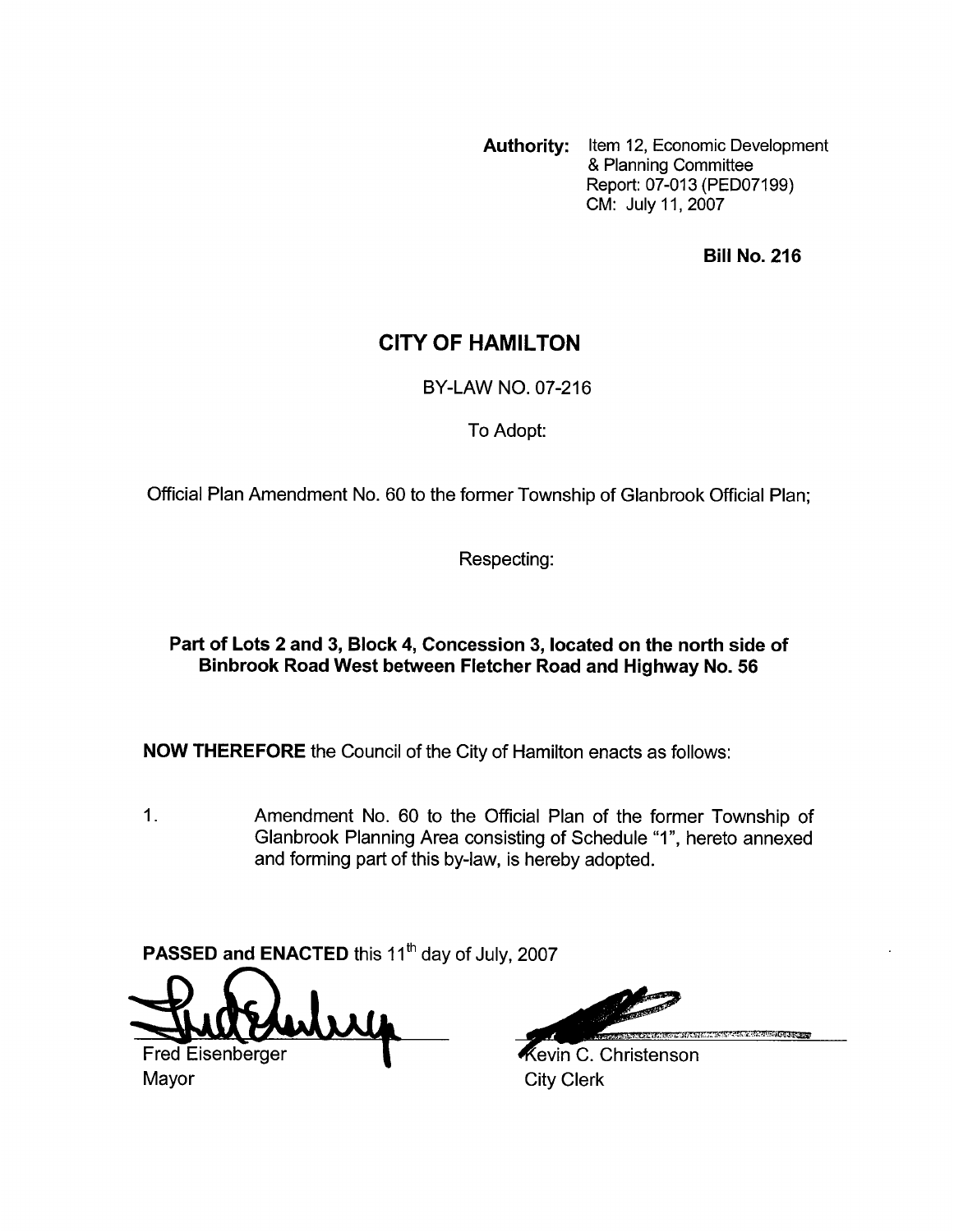**Authority:** Item 12, Economic Development & Planning Committee Report: 07-013 (PEDO7199) CM: July 11,2007

**Bill No. 216** 

## **CITY OF HAMILTON**

BY-LAW NO. 07-216

To Adopt:

Official Plan Amendment No. 60 to the former Township of Glanbrook Official Plan;

Respecting:

### **Part of Lots 2 and 3, Block 4, Concession 3, located on the north side of Binbrook Road West between Fletcher Road and Highway No. 56**

**NOW THEREFORE** the Council of the City of Hamilton enacts as follows:

1. Amendment No. 60 to the Official Plan of the former Township of Glanbrook Planning Area consisting of Schedule "I", hereto annexed and forming part of this by-law, is hereby adopted.

**PASSED and ENACTED** this 11<sup>th</sup> day of July, 2007

**Fred Eisenberger** 

Mayor **City Clerk** 

Kevin C. Christenson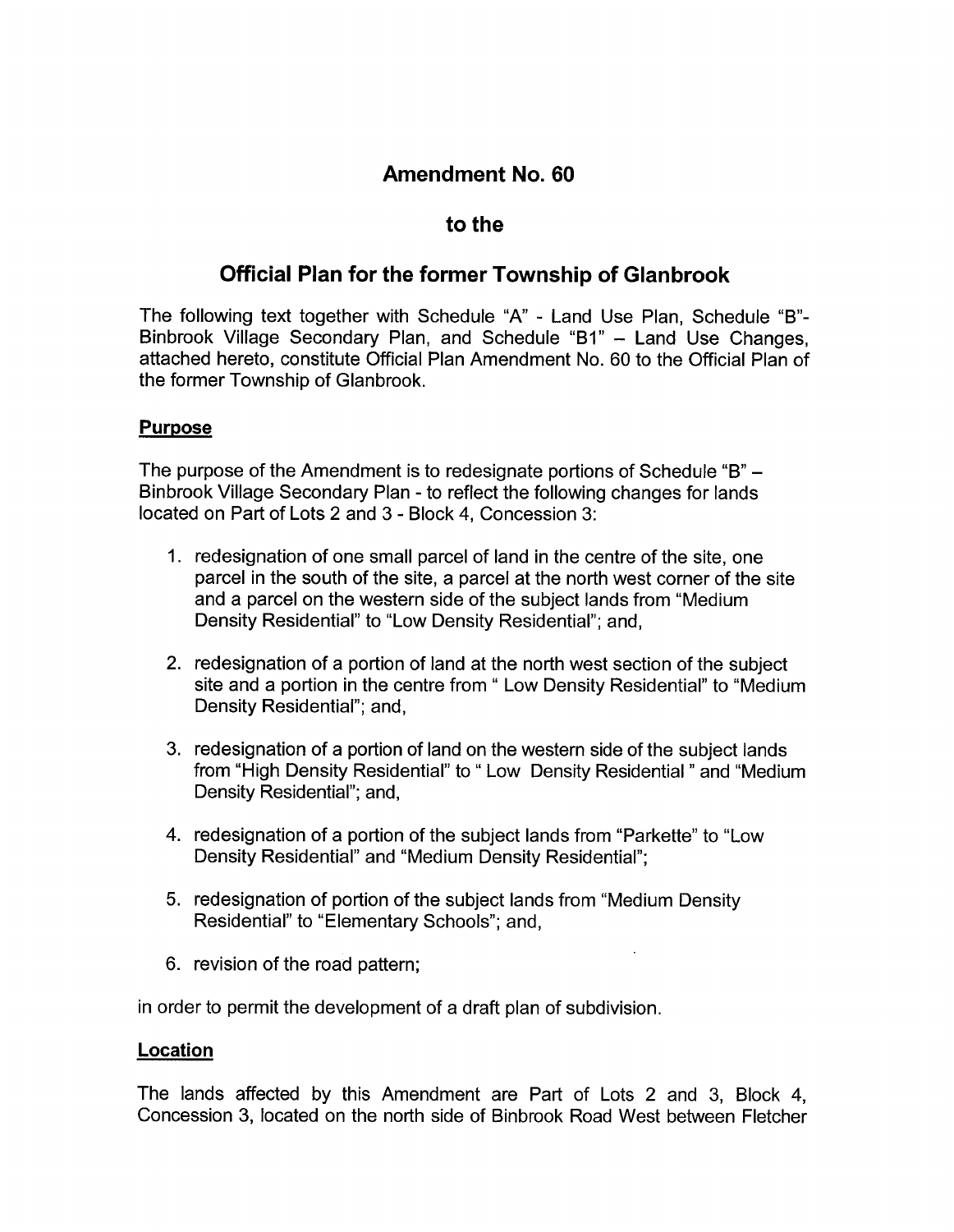# **Amendment No. 60**

## to the

# **Official Plan for the former Township of Glanbrook**

The following text together with Schedule "A" - Land Use Plan, Schedule "B"-Binbrook Village Secondary Plan, and Schedule "B1" - Land Use Changes, attached hereto, constitute Official Plan Amendment No. 60 to the Official Plan of the former Township of Glanbrook.

### **Purpose**

The purpose of the Amendment is to redesignate portions of Schedule "B" - Binbrook Village Secondary Plan - to reflect the following changes for lands located on Part of Lots 2 and 3 - Block 4, Concession 3:

- 1. redesignation of one small parcel of land in the centre of the site, one parcel in the south of the site, a parcel at the north west corner of the site and a parcel on the western side of the subject lands from "Medium Density Residential" to "Low Density Residential"; and,
- 2. redesignation of a portion of land at the north west section of the subject site and a portion in the centre from " Low Density Residential" to "Medium Density Residential"; and,
- 3. redesignation of a portion of land on the western side of the subject lands from "High Density Residential" to "Low Density Residential" and "Medium Density Residential"; and,
- 4. redesignation of a portion of the subject lands from "Parkette" to "Low Density Residential" and "Medium Density Residential";
- 5. redesignation of portion of the subject lands from "Medium Density Residential" to "Elementary Schools"; and,
- 6. revision of the road pattern;

in order to permit the development of a draft plan of subdivision.

#### **Location**

The lands affected by this Amendment are Part of Lots 2 and 3, Block **4,**  Concession 3, located on the north side of Binbrook Road West between Fletcher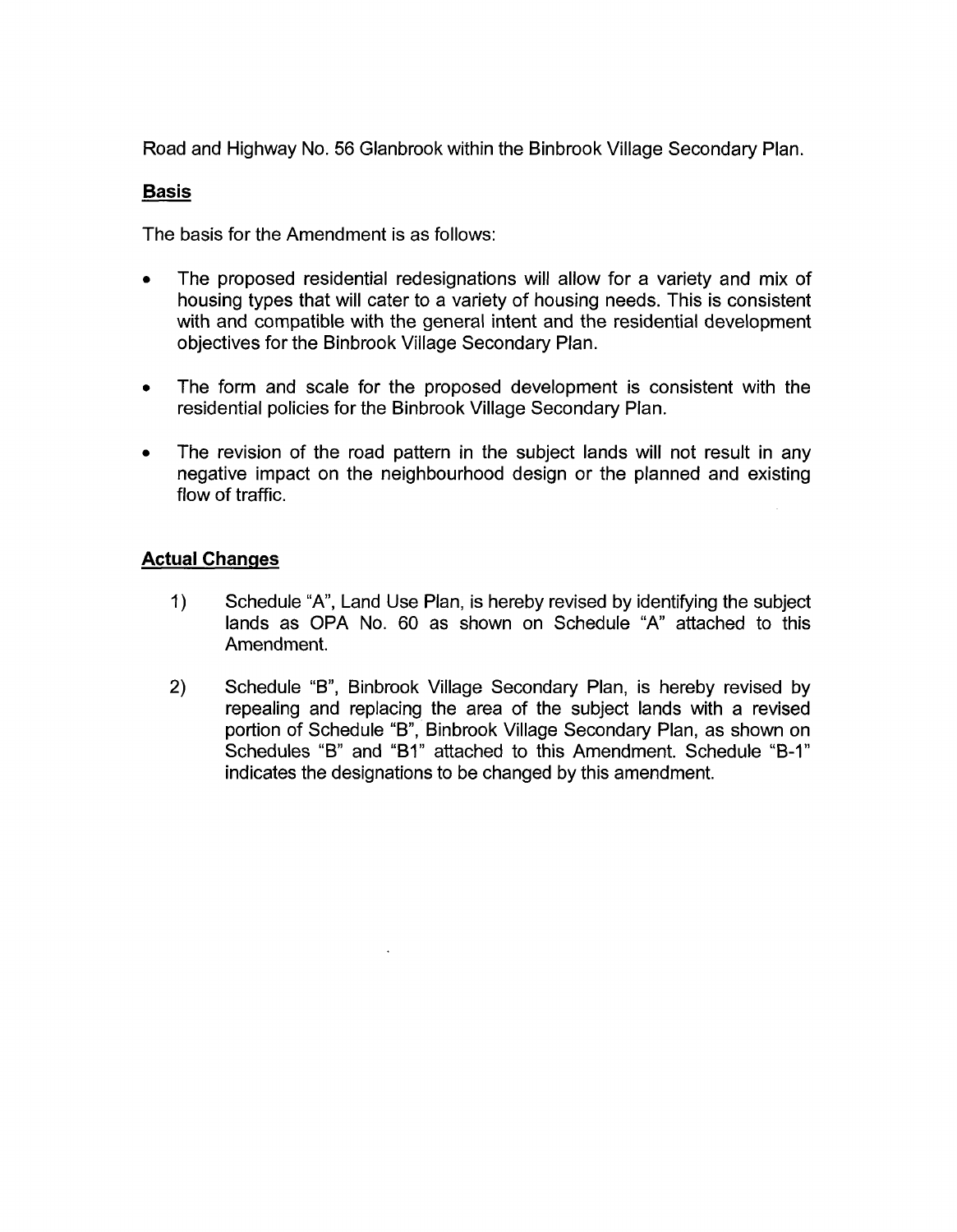Road and Highway No. 56 Glanbrook within the Binbrook Village Secondary Plan.

### **Basis**

The basis for the Amendment is as follows:

- The proposed residential redesignations will allow for a variety and mix of  $\bullet$ housing types that will cater to a variety of housing needs. This is consistent with and compatible with the general intent and the residential development objectives for the Binbrook Village Secondary Plan.
- The form and scale for the proposed development is consistent with the  $\bullet$ residential policies for the Binbrook Village Secondary Plan.
- The revision of the road pattern in the subject lands will not result in any  $\bullet$ negative impact on the neighbourhood design or the planned and existing flow of traffic.

### **Actual Changes**

- 1) Schedule "A", Land Use Plan, is hereby revised by identifying the subject lands as OPA No. 60 as shown on Schedule "A' attached to this Amendment.
- **2)** Schedule "B", Binbrook Village secondary Plan, is hereby revised by repealing and replacing the area of the subject lands with a revised portion of Schedule "B", Binbrook Village Secondary Plan, as shown on Schedules "B" and "B1" attached to this Amendment. Schedule "B-1" indicates the designations to be changed by this amendment.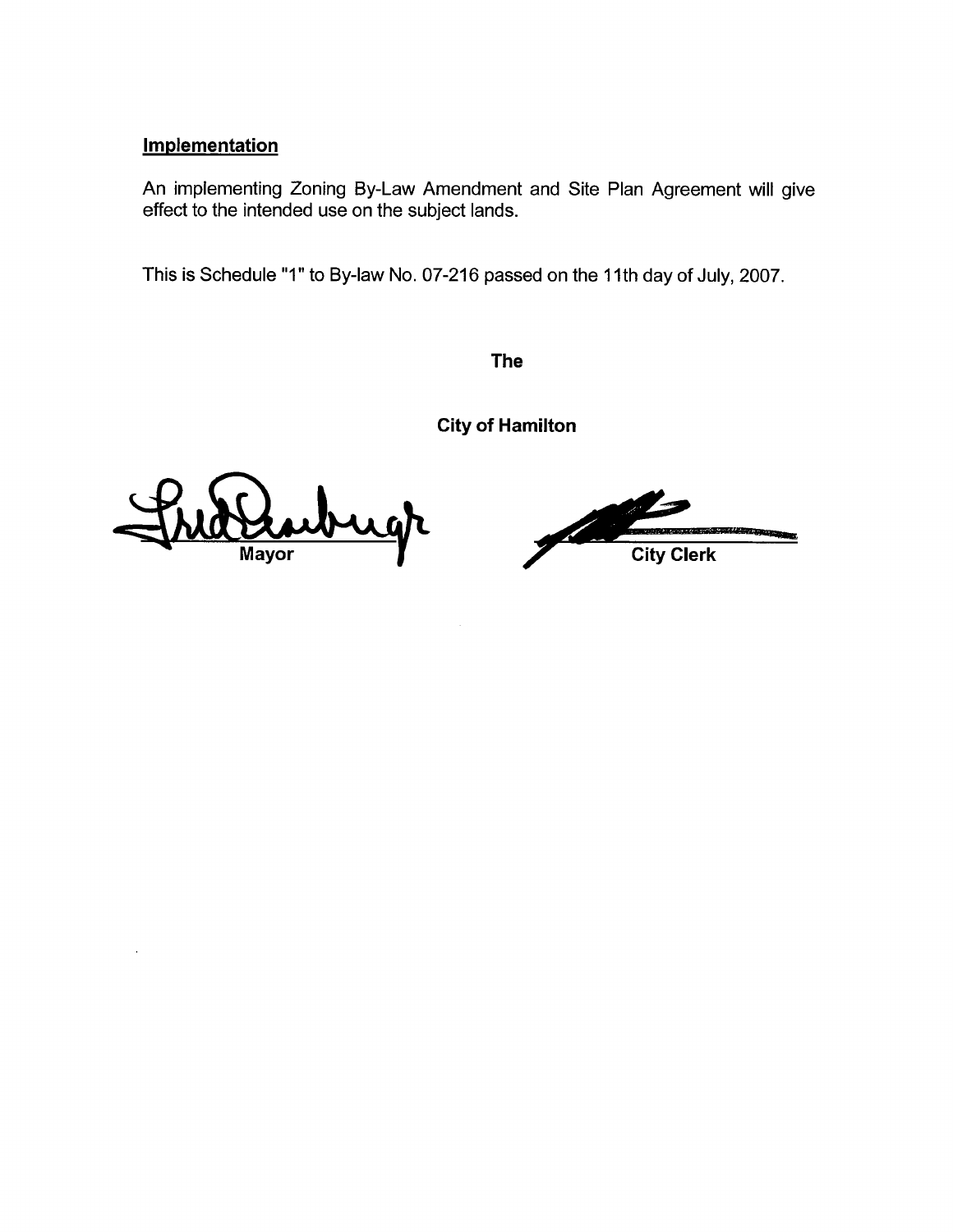#### **Implementation**

An implementing Zoning By-Law Amendment and Site Plan Agreement will give effect to the intended use on the subject lands.

This is Schedule "1" to By-law No. 07-216 passed on the **1** Ith day of July, 2007.

**The** 

**City of Hamilton** 

**Mayor** 

**City Clerk**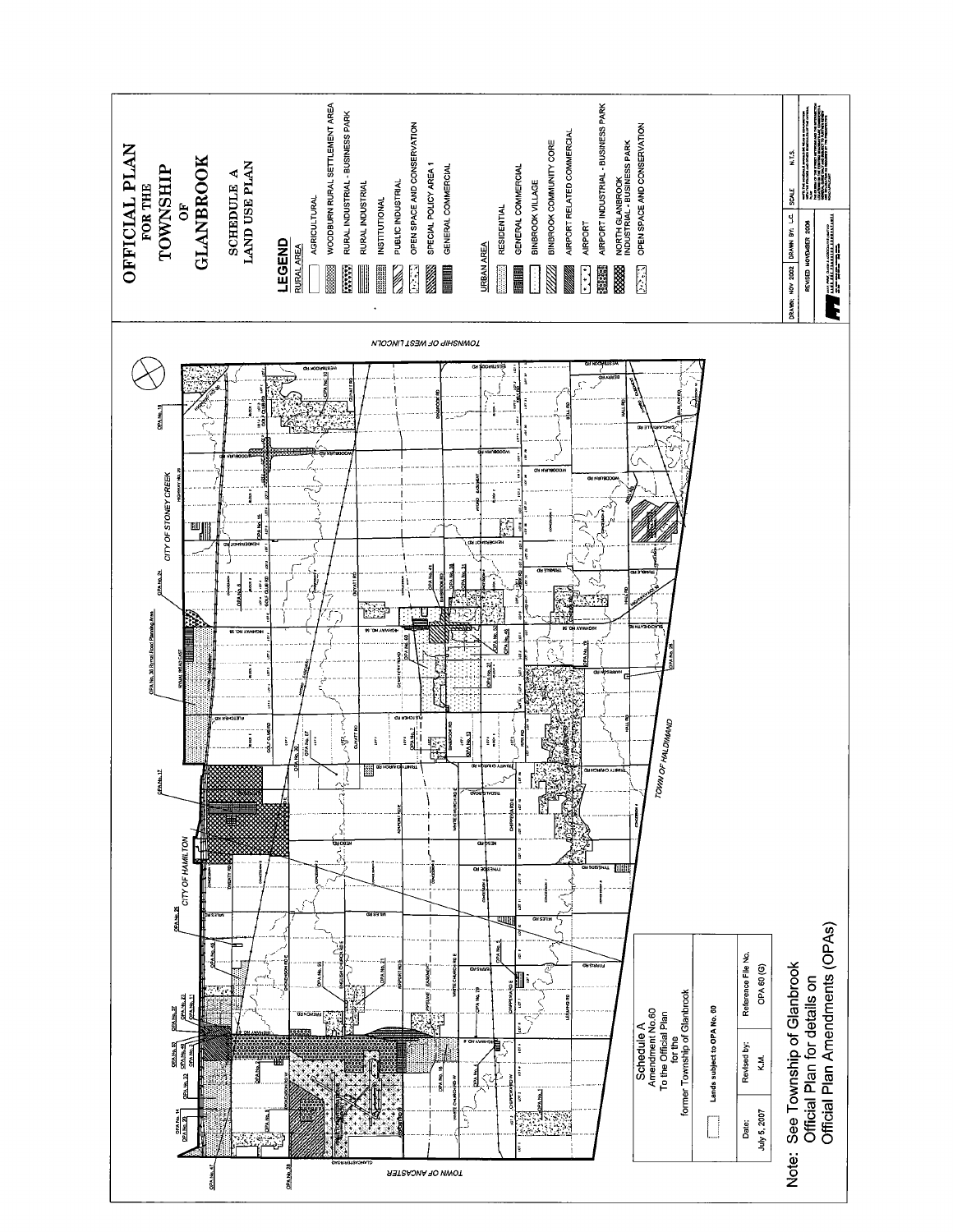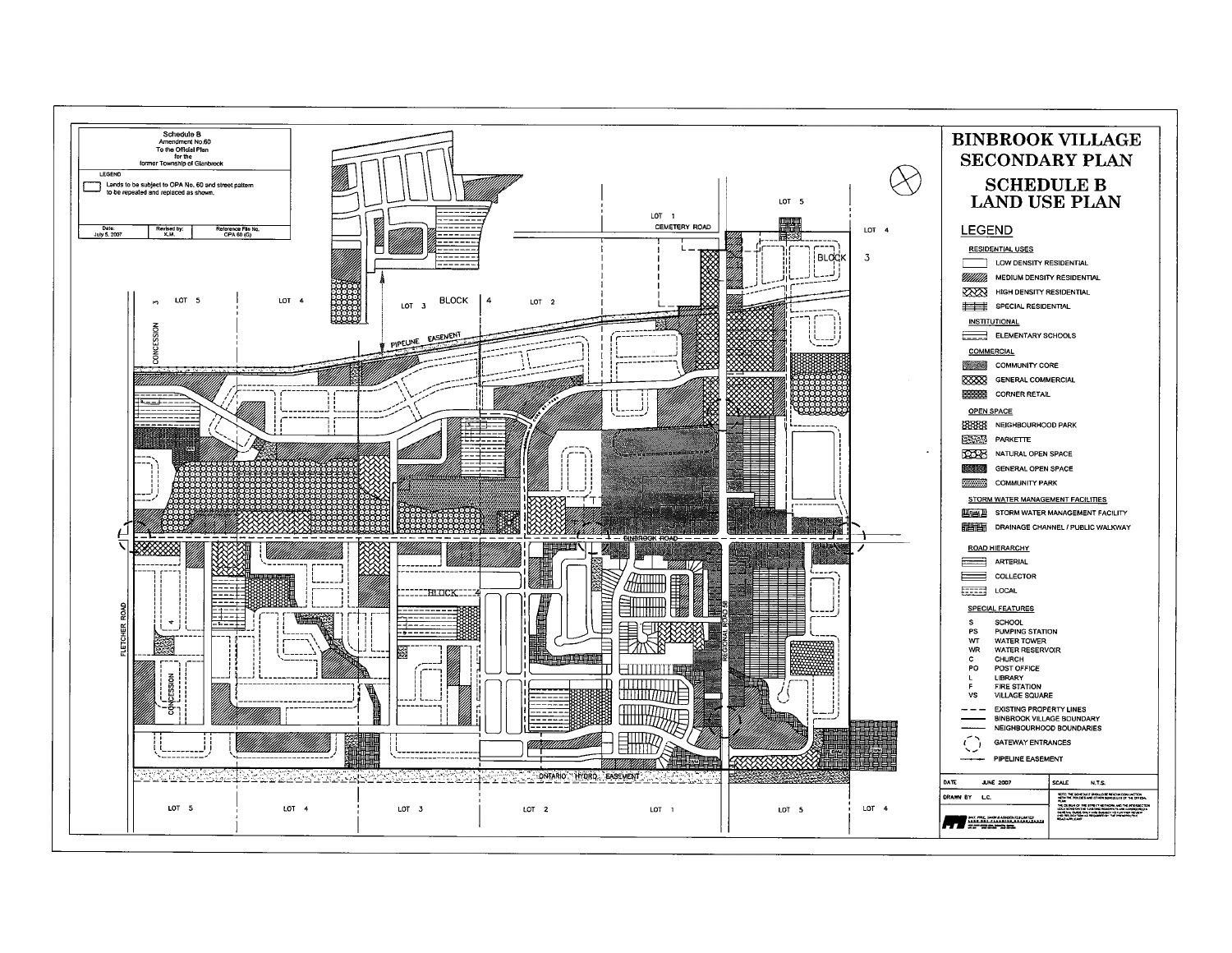